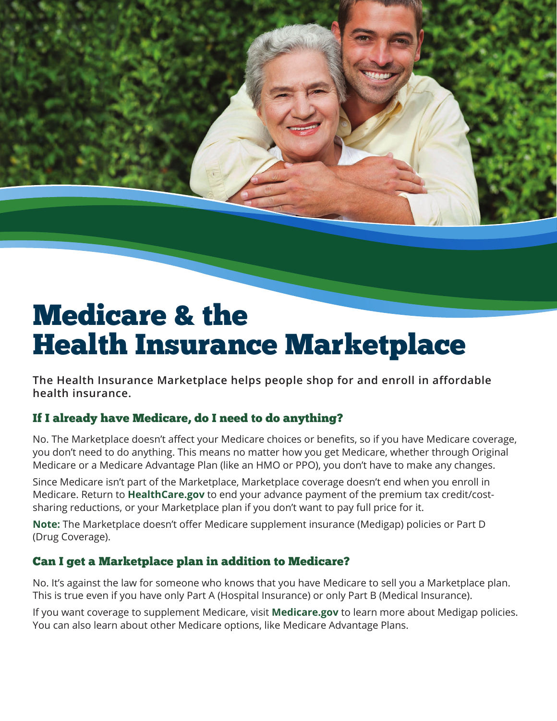# Medicare & the Health Insurance Marketplace

**The Health Insurance Marketplace helps people shop for and enroll in affordable health insurance.**

## If I already have Medicare, do I need to do anything?

No. The Marketplace doesn't affect your Medicare choices or benefits, so if you have Medicare coverage, you don't need to do anything. This means no matter how you get Medicare, whether through Original Medicare or a Medicare Advantage Plan (like an HMO or PPO), you don't have to make any changes.

Since Medicare isn't part of the Marketplace, Marketplace coverage doesn't end when you enroll in Medicare. Return to **[HealthCare.gov](http://www.healthcare.gov)** to end your advance payment of the premium tax credit/costsharing reductions, or your Marketplace plan if you don't want to pay full price for it.

**Note:** The Marketplace doesn't offer Medicare supplement insurance (Medigap) policies or Part D (Drug Coverage).

## Can I get a Marketplace plan in addition to Medicare?

No. It's against the law for someone who knows that you have Medicare to sell you a Marketplace plan. This is true even if you have only Part A (Hospital Insurance) or only Part B (Medical Insurance).

If you want coverage to supplement Medicare, visit **[Medicare.gov](http://medicare.gov)** to learn more about Medigap policies. You can also learn about other Medicare options, like Medicare Advantage Plans.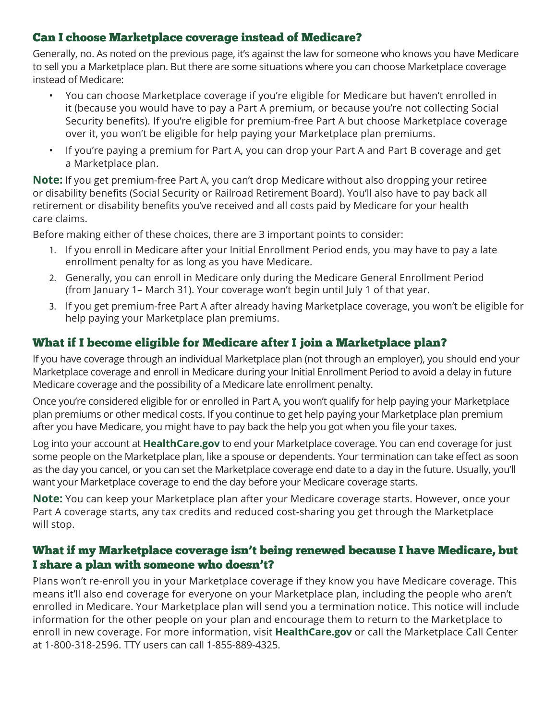#### Can I choose Marketplace coverage instead of Medicare?

Generally, no. As noted on the previous page, it's against the law for someone who knows you have Medicare to sell you a Marketplace plan. But there are some situations where you can choose Marketplace coverage instead of Medicare:

- You can choose Marketplace coverage if you're eligible for Medicare but haven't enrolled in it (because you would have to pay a Part A premium, or because you're not collecting Social Security benefits). If you're eligible for premium-free Part A but choose Marketplace coverage over it, you won't be eligible for help paying your Marketplace plan premiums.
- If you're paying a premium for Part A, you can drop your Part A and Part B coverage and get a Marketplace plan.

**Note:** If you get premium-free Part A, you can't drop Medicare without also dropping your retiree or disability benefits (Social Security or Railroad Retirement Board). You'll also have to pay back all retirement or disability benefits you've received and all costs paid by Medicare for your health care claims.

Before making either of these choices, there are 3 important points to consider:

- 1. If you enroll in Medicare after your Initial Enrollment Period ends, you may have to pay a late enrollment penalty for as long as you have Medicare.
- 2. Generally, you can enroll in Medicare only during the Medicare General Enrollment Period (from January 1– March 31). Your coverage won't begin until July 1 of that year.
- 3. If you get premium-free Part A after already having Marketplace coverage, you won't be eligible for help paying your Marketplace plan premiums.

## What if I become eligible for Medicare after I join a Marketplace plan?

If you have coverage through an individual Marketplace plan (not through an employer), you should end your Marketplace coverage and enroll in Medicare during your Initial Enrollment Period to avoid a delay in future Medicare coverage and the possibility of a Medicare late enrollment penalty.

Once you're considered eligible for or enrolled in Part A, you won't qualify for help paying your Marketplace plan premiums or other medical costs. If you continue to get help paying your Marketplace plan premium after you have Medicare, you might have to pay back the help you got when you file your taxes.

Log into your account at **[HealthCare.gov](http://www.healthcare.gov)** to end your Marketplace coverage. You can end coverage for just some people on the Marketplace plan, like a spouse or dependents. Your termination can take effect as soon as the day you cancel, or you can set the Marketplace coverage end date to a day in the future. Usually, you'll want your Marketplace coverage to end the day before your Medicare coverage starts.

**Note:** You can keep your Marketplace plan after your Medicare coverage starts. However, once your Part A coverage starts, any tax credits and reduced cost-sharing you get through the Marketplace will stop.

## What if my Marketplace coverage isn't being renewed because I have Medicare, but I share a plan with someone who doesn't?

Plans won't re-enroll you in your Marketplace coverage if they know you have Medicare coverage. This means it'll also end coverage for everyone on your Marketplace plan, including the people who aren't enrolled in Medicare. Your Marketplace plan will send you a termination notice. This notice will include information for the other people on your plan and encourage them to return to the Marketplace to enroll in new coverage. For more information, visit **[HealthCare.gov](http://www.healthcare.gov)** or call the Marketplace Call Center at 1-800-318-2596. TTY users can call 1-855-889-4325.